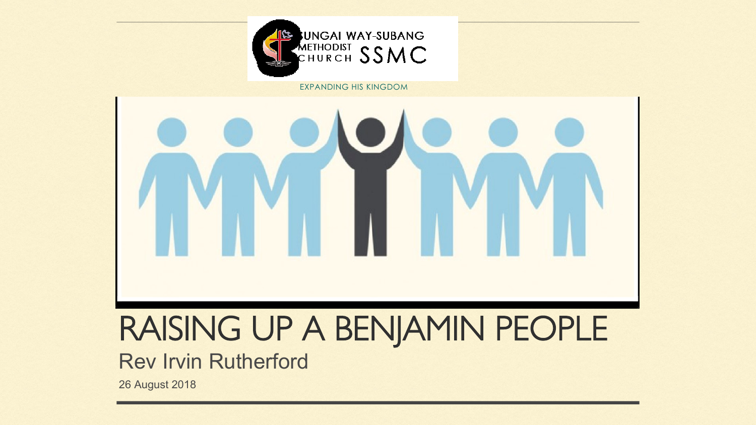# RAISING UP A BENJAMIN PEOPLE Rev Irvin Rutherford

26 August 2018

#### **WINGAI WAY-SUBANG** METHODIST SSMC



EXPANDING HIS KINGDOM

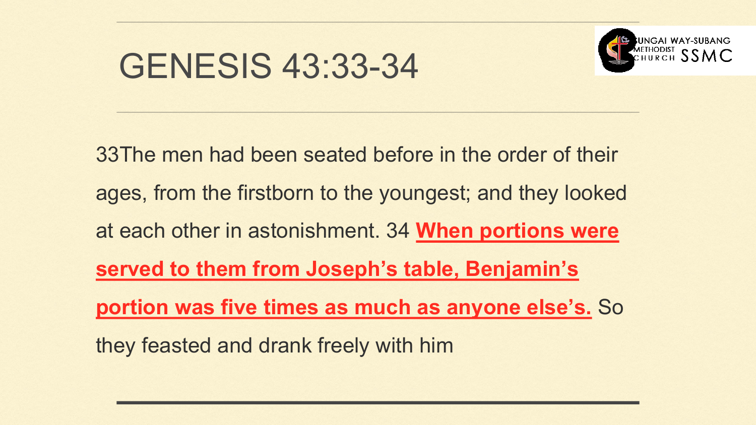# GENESIS 43:33-34

- 33The men had been seated before in the order of their
- ages, from the firstborn to the youngest; and they looked
- at each other in astonishment. 34 **When portions were** 
	-
- **portion was five times as much as anyone else's.** So
	-



**served to them from Joseph's table, Benjamin's**  they feasted and drank freely with him

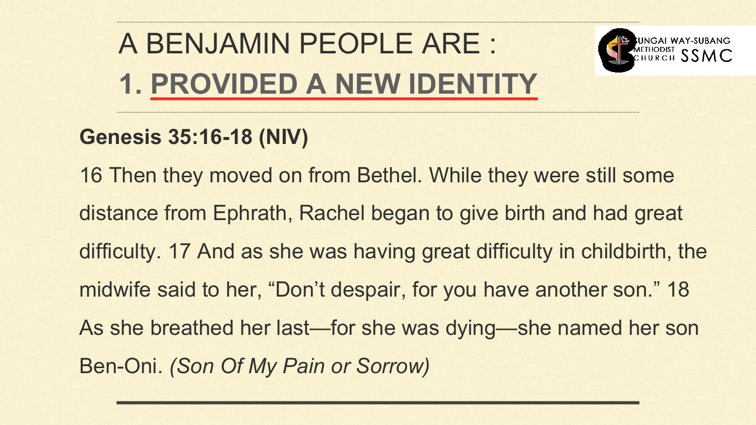- 16 Then they moved on from Bethel. While they were still some
- distance from Ephrath, Rachel began to give birth and had great
- difficulty. 17 And as she was having great difficulty in childbirth, the
- midwife said to her, "Don't despair, for you have another son." 18
- As she breathed her last—for she was dying—she named her son
	-



# A BENJAMIN PEOPLE ARE : **1. PROVIDED A NEW IDENTITY**

**Genesis 35:16-18 (NIV)** Ben-Oni. *(Son Of My Pain or Sorrow)*

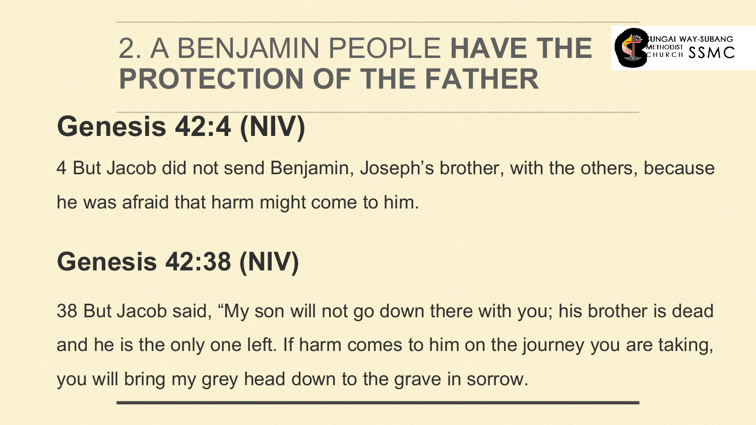# 2. A BENJAMIN PEOPLE HAVE THE SECRET SSMC **PROTECTION OF THE FATHER Genesis 42:4 (NIV)**

4 But Jacob did not send Benjamin, Joseph's brother, with the others, because

he was afraid that harm might come to him.

### **Genesis 42:38 (NIV)**

38 But Jacob said, "My son will not go down there with you; his brother is dead and he is the only one left. If harm comes to him on the journey you are taking,



you will bring my grey head down to the grave in sorrow.

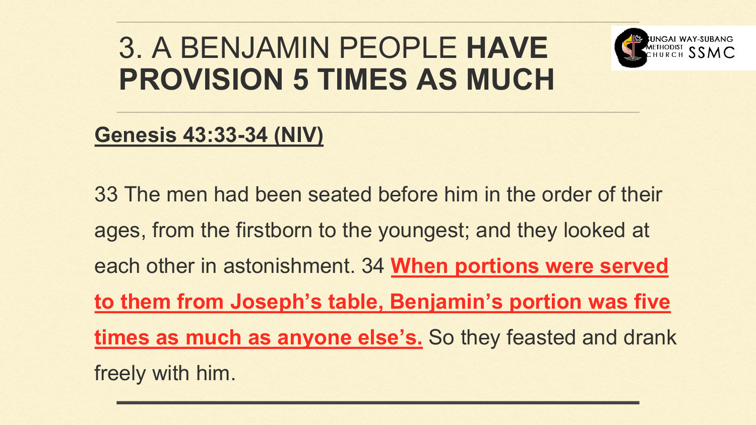# 3. A BENJAMIN PEOPLE **HAVE PROVISION 5 TIMES AS MUCH**

#### **Genesis 43:33-34 (NIV)**

33 The men had been seated before him in the order of their ages, from the firstborn to the youngest; and they looked at each other in astonishment. 34 **When portions were served to them from Joseph's table, Benjamin's portion was five times as much as anyone else's.** So they feasted and drank freely with him.





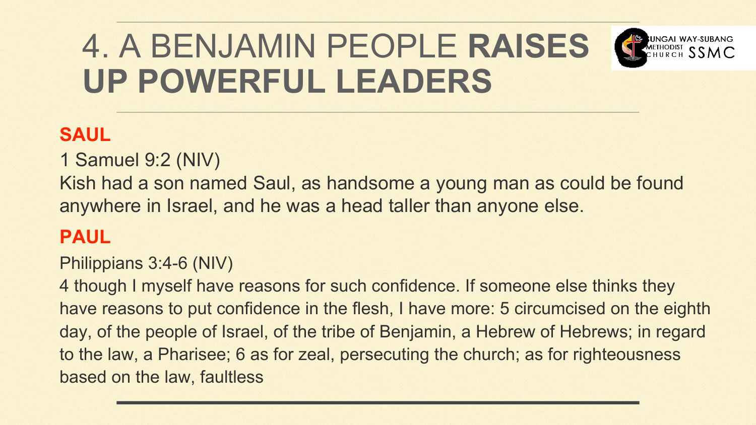#### 4. A BENJAMIN PEOPLE **RAISES**  CHURCH SSMC **UP POWERFUL LEADERS**

#### **SAUL**

1 Samuel 9:2 (NIV) Kish had a son named Saul, as handsome a young man as could be found anywhere in Israel, and he was a head taller than anyone else.

#### **PAUL**

Philippians 3:4-6 (NIV)

4 though I myself have reasons for such confidence. If someone else thinks they have reasons to put confidence in the flesh, I have more: 5 circumcised on the eighth day, of the people of Israel, of the tribe of Benjamin, a Hebrew of Hebrews; in regard to the law, a Pharisee; 6 as for zeal, persecuting the church; as for righteousness based on the law, faultless



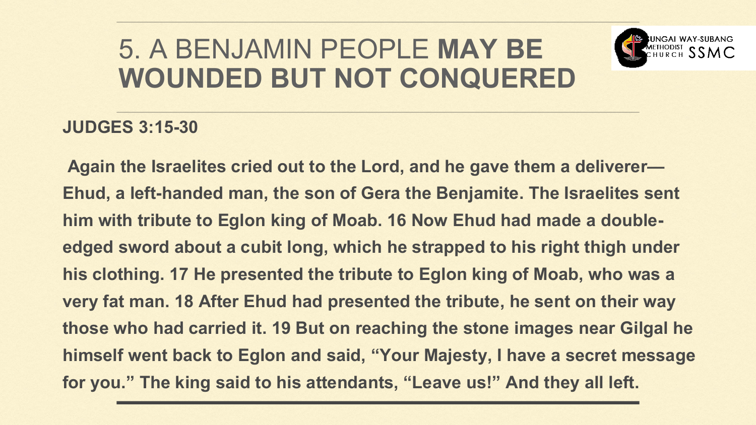#### **JUDGES 3:15-30**

**Again the Israelites cried out to the Lord, and he gave them a deliverer— Ehud, a left-handed man, the son of Gera the Benjamite. The Israelites sent him with tribute to Eglon king of Moab. 16 Now Ehud had made a doubleedged sword about a cubit long, which he strapped to his right thigh under his clothing. 17 He presented the tribute to Eglon king of Moab, who was a very fat man. 18 After Ehud had presented the tribute, he sent on their way those who had carried it. 19 But on reaching the stone images near Gilgal he himself went back to Eglon and said, "Your Majesty, I have a secret message for you." The king said to his attendants, "Leave us!" And they all left.**



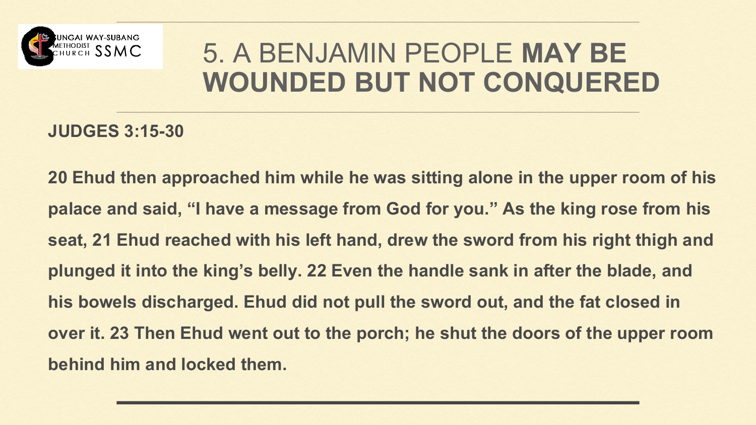

#### **JUDGES 3:15-30**

**20 Ehud then approached him while he was sitting alone in the upper room of his palace and said, "I have a message from God for you." As the king rose from his seat, 21 Ehud reached with his left hand, drew the sword from his right thigh and plunged it into the king's belly. 22 Even the handle sank in after the blade, and his bowels discharged. Ehud did not pull the sword out, and the fat closed in over it. 23 Then Ehud went out to the porch; he shut the doors of the upper room** 



**behind him and locked them.**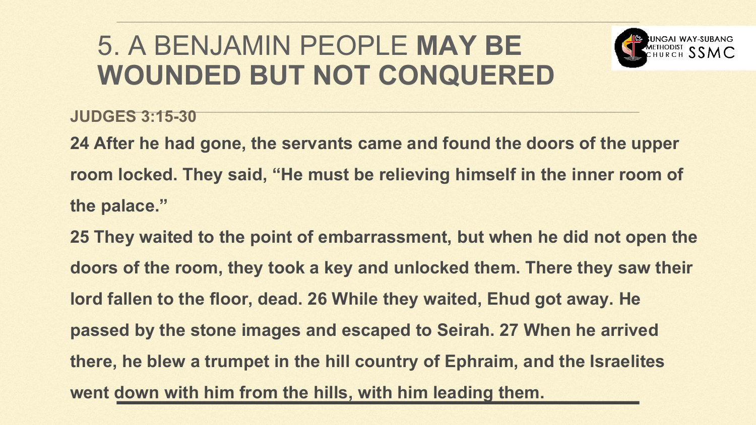- **JUDGES 3:15-30**
- **24 After he had gone, the servants came and found the doors of the upper room locked. They said, "He must be relieving himself in the inner room of the palace."**
- **25 They waited to the point of embarrassment, but when he did not open the**
- **doors of the room, they took a key and unlocked them. There they saw their lord fallen to the floor, dead. 26 While they waited, Ehud got away. He passed by the stone images and escaped to Seirah. 27 When he arrived there, he blew a trumpet in the hill country of Ephraim, and the Israelites**
- 
- **went down with him from the hills, with him leading them.**
- 
-